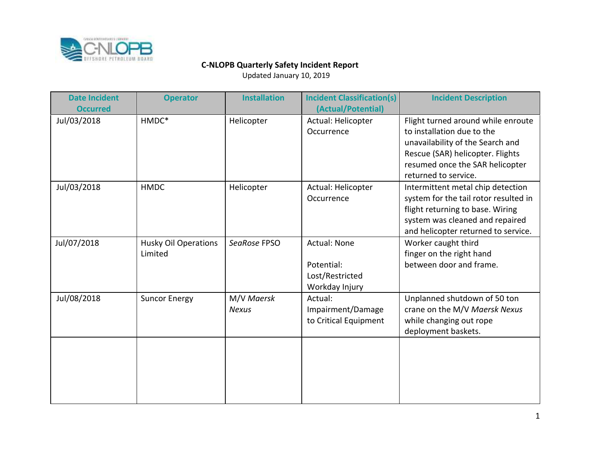

| <b>Date Incident</b><br><b>Occurred</b> | <b>Operator</b>                        | <b>Installation</b>        | <b>Incident Classification(s)</b><br>(Actual/Potential)                | <b>Incident Description</b>                                                                                                                                                                         |
|-----------------------------------------|----------------------------------------|----------------------------|------------------------------------------------------------------------|-----------------------------------------------------------------------------------------------------------------------------------------------------------------------------------------------------|
| Jul/03/2018                             | HMDC*                                  | Helicopter                 | Actual: Helicopter<br>Occurrence                                       | Flight turned around while enroute<br>to installation due to the<br>unavailability of the Search and<br>Rescue (SAR) helicopter. Flights<br>resumed once the SAR helicopter<br>returned to service. |
| Jul/03/2018                             | <b>HMDC</b>                            | Helicopter                 | Actual: Helicopter<br>Occurrence                                       | Intermittent metal chip detection<br>system for the tail rotor resulted in<br>flight returning to base. Wiring<br>system was cleaned and repaired<br>and helicopter returned to service.            |
| Jul/07/2018                             | <b>Husky Oil Operations</b><br>Limited | SeaRose FPSO               | <b>Actual: None</b><br>Potential:<br>Lost/Restricted<br>Workday Injury | Worker caught third<br>finger on the right hand<br>between door and frame.                                                                                                                          |
| Jul/08/2018                             | <b>Suncor Energy</b>                   | M/V Maersk<br><b>Nexus</b> | Actual:<br>Impairment/Damage<br>to Critical Equipment                  | Unplanned shutdown of 50 ton<br>crane on the M/V Maersk Nexus<br>while changing out rope<br>deployment baskets.                                                                                     |
|                                         |                                        |                            |                                                                        |                                                                                                                                                                                                     |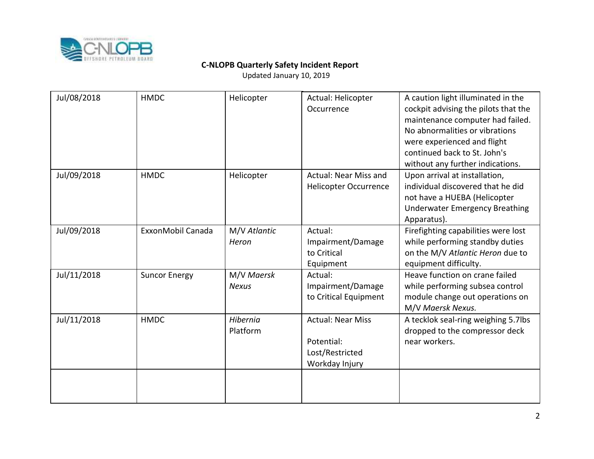

| <b>HMDC</b>          | Helicopter                  | Actual: Helicopter<br>Occurrence                                            | A caution light illuminated in the<br>cockpit advising the pilots that the<br>maintenance computer had failed.<br>No abnormalities or vibrations<br>were experienced and flight<br>continued back to St. John's<br>without any further indications. |
|----------------------|-----------------------------|-----------------------------------------------------------------------------|-----------------------------------------------------------------------------------------------------------------------------------------------------------------------------------------------------------------------------------------------------|
| <b>HMDC</b>          | Helicopter                  | Actual: Near Miss and<br><b>Helicopter Occurrence</b>                       | Upon arrival at installation,<br>individual discovered that he did<br>not have a HUEBA (Helicopter<br><b>Underwater Emergency Breathing</b><br>Apparatus).                                                                                          |
| ExxonMobil Canada    | M/V Atlantic<br>Heron       | Actual:<br>Impairment/Damage<br>to Critical                                 | Firefighting capabilities were lost<br>while performing standby duties<br>on the M/V Atlantic Heron due to<br>equipment difficulty.                                                                                                                 |
| <b>Suncor Energy</b> | M/V Maersk<br><b>Nexus</b>  | Actual:<br>Impairment/Damage<br>to Critical Equipment                       | Heave function on crane failed<br>while performing subsea control<br>module change out operations on<br>M/V Maersk Nexus.                                                                                                                           |
| <b>HMDC</b>          | <b>Hibernia</b><br>Platform | <b>Actual: Near Miss</b><br>Potential:<br>Lost/Restricted<br>Workday Injury | A tecklok seal-ring weighing 5.7lbs<br>dropped to the compressor deck<br>near workers.                                                                                                                                                              |
|                      |                             |                                                                             | Equipment                                                                                                                                                                                                                                           |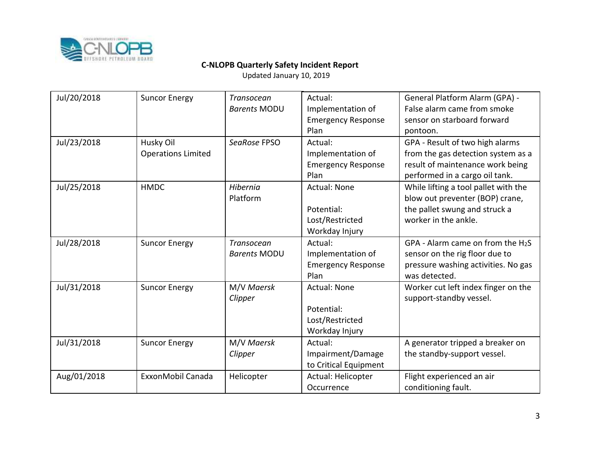

| Jul/20/2018 | <b>Suncor Energy</b>      | <b>Transocean</b>   | Actual:                   | General Platform Alarm (GPA) -       |
|-------------|---------------------------|---------------------|---------------------------|--------------------------------------|
|             |                           | <b>Barents MODU</b> | Implementation of         | False alarm came from smoke          |
|             |                           |                     | <b>Emergency Response</b> | sensor on starboard forward          |
|             |                           |                     | Plan                      | pontoon.                             |
| Jul/23/2018 | Husky Oil                 | SeaRose FPSO        | Actual:                   | GPA - Result of two high alarms      |
|             | <b>Operations Limited</b> |                     | Implementation of         | from the gas detection system as a   |
|             |                           |                     | <b>Emergency Response</b> | result of maintenance work being     |
|             |                           |                     | Plan                      | performed in a cargo oil tank.       |
| Jul/25/2018 | <b>HMDC</b>               | Hibernia            | <b>Actual: None</b>       | While lifting a tool pallet with the |
|             |                           | Platform            |                           | blow out preventer (BOP) crane,      |
|             |                           |                     | Potential:                | the pallet swung and struck a        |
|             |                           |                     | Lost/Restricted           | worker in the ankle.                 |
|             |                           |                     | Workday Injury            |                                      |
| Jul/28/2018 | <b>Suncor Energy</b>      | Transocean          | Actual:                   | GPA - Alarm came on from the $H_2S$  |
|             |                           | <b>Barents MODU</b> | Implementation of         | sensor on the rig floor due to       |
|             |                           |                     | <b>Emergency Response</b> | pressure washing activities. No gas  |
|             |                           |                     | Plan                      | was detected.                        |
| Jul/31/2018 | <b>Suncor Energy</b>      | M/V Maersk          | <b>Actual: None</b>       | Worker cut left index finger on the  |
|             |                           | Clipper             |                           | support-standby vessel.              |
|             |                           |                     | Potential:                |                                      |
|             |                           |                     | Lost/Restricted           |                                      |
|             |                           |                     | Workday Injury            |                                      |
| Jul/31/2018 | <b>Suncor Energy</b>      | M/V Maersk          | Actual:                   | A generator tripped a breaker on     |
|             |                           | Clipper             | Impairment/Damage         | the standby-support vessel.          |
|             |                           |                     | to Critical Equipment     |                                      |
| Aug/01/2018 | ExxonMobil Canada         | Helicopter          | Actual: Helicopter        | Flight experienced an air            |
|             |                           |                     | Occurrence                | conditioning fault.                  |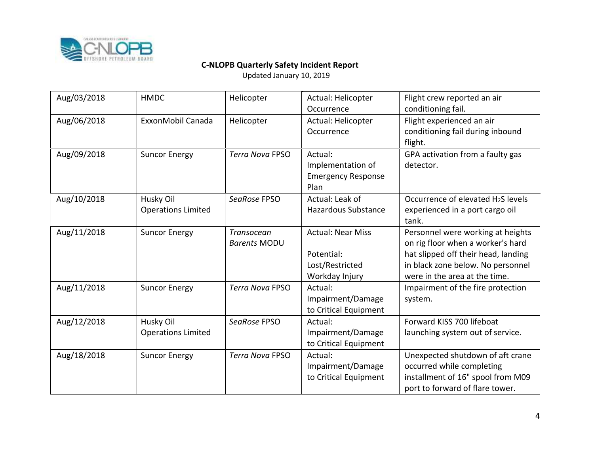

| Aug/03/2018 | <b>HMDC</b>                            | Helicopter                        | Actual: Helicopter<br>Occurrence                                            | Flight crew reported an air<br>conditioning fail.                                                                                                                                   |
|-------------|----------------------------------------|-----------------------------------|-----------------------------------------------------------------------------|-------------------------------------------------------------------------------------------------------------------------------------------------------------------------------------|
| Aug/06/2018 | ExxonMobil Canada                      | Helicopter                        | Actual: Helicopter<br>Occurrence                                            | Flight experienced an air<br>conditioning fail during inbound<br>flight.                                                                                                            |
| Aug/09/2018 | <b>Suncor Energy</b>                   | <b>Terra Nova FPSO</b>            | Actual:<br>Implementation of<br><b>Emergency Response</b><br>Plan           | GPA activation from a faulty gas<br>detector.                                                                                                                                       |
| Aug/10/2018 | Husky Oil<br><b>Operations Limited</b> | SeaRose FPSO                      | Actual: Leak of<br><b>Hazardous Substance</b>                               | Occurrence of elevated H <sub>2</sub> S levels<br>experienced in a port cargo oil<br>tank.                                                                                          |
| Aug/11/2018 | <b>Suncor Energy</b>                   | Transocean<br><b>Barents MODU</b> | <b>Actual: Near Miss</b><br>Potential:<br>Lost/Restricted<br>Workday Injury | Personnel were working at heights<br>on rig floor when a worker's hard<br>hat slipped off their head, landing<br>in black zone below. No personnel<br>were in the area at the time. |
| Aug/11/2018 | <b>Suncor Energy</b>                   | <b>Terra Nova FPSO</b>            | Actual:<br>Impairment/Damage<br>to Critical Equipment                       | Impairment of the fire protection<br>system.                                                                                                                                        |
| Aug/12/2018 | Husky Oil<br><b>Operations Limited</b> | SeaRose FPSO                      | Actual:<br>Impairment/Damage<br>to Critical Equipment                       | Forward KISS 700 lifeboat<br>launching system out of service.                                                                                                                       |
| Aug/18/2018 | <b>Suncor Energy</b>                   | <b>Terra Nova FPSO</b>            | Actual:<br>Impairment/Damage<br>to Critical Equipment                       | Unexpected shutdown of aft crane<br>occurred while completing<br>installment of 16" spool from M09<br>port to forward of flare tower.                                               |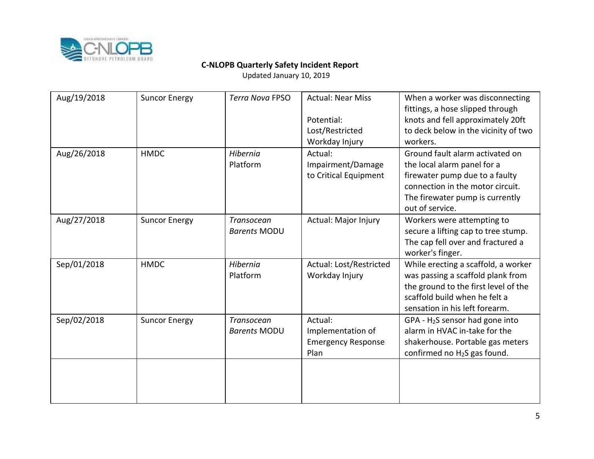

| Aug/19/2018 | <b>Suncor Energy</b> | <b>Terra Nova FPSO</b>            | <b>Actual: Near Miss</b><br>Potential:<br>Lost/Restricted<br>Workday Injury | When a worker was disconnecting<br>fittings, a hose slipped through<br>knots and fell approximately 20ft<br>to deck below in the vicinity of two<br>workers.                               |
|-------------|----------------------|-----------------------------------|-----------------------------------------------------------------------------|--------------------------------------------------------------------------------------------------------------------------------------------------------------------------------------------|
| Aug/26/2018 | <b>HMDC</b>          | Hibernia<br>Platform              | Actual:<br>Impairment/Damage<br>to Critical Equipment                       | Ground fault alarm activated on<br>the local alarm panel for a<br>firewater pump due to a faulty<br>connection in the motor circuit.<br>The firewater pump is currently<br>out of service. |
| Aug/27/2018 | <b>Suncor Energy</b> | Transocean<br><b>Barents MODU</b> | Actual: Major Injury                                                        | Workers were attempting to<br>secure a lifting cap to tree stump.<br>The cap fell over and fractured a<br>worker's finger.                                                                 |
| Sep/01/2018 | <b>HMDC</b>          | Hibernia<br>Platform              | Actual: Lost/Restricted<br>Workday Injury                                   | While erecting a scaffold, a worker<br>was passing a scaffold plank from<br>the ground to the first level of the<br>scaffold build when he felt a<br>sensation in his left forearm.        |
| Sep/02/2018 | <b>Suncor Energy</b> | Transocean<br><b>Barents MODU</b> | Actual:<br>Implementation of<br><b>Emergency Response</b><br>Plan           | $GPA - H2S$ sensor had gone into<br>alarm in HVAC in-take for the<br>shakerhouse. Portable gas meters<br>confirmed no H <sub>2</sub> S gas found.                                          |
|             |                      |                                   |                                                                             |                                                                                                                                                                                            |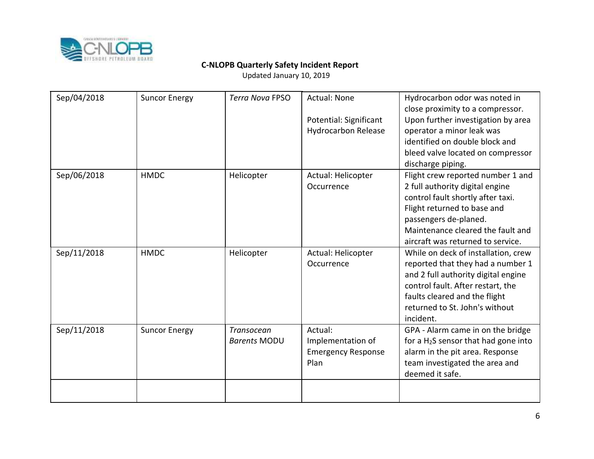

| Sep/04/2018 | <b>Suncor Energy</b> | <b>Terra Nova FPSO</b> | <b>Actual: None</b>                                  | Hydrocarbon odor was noted in<br>close proximity to a compressor. |
|-------------|----------------------|------------------------|------------------------------------------------------|-------------------------------------------------------------------|
|             |                      |                        | Potential: Significant<br><b>Hydrocarbon Release</b> | Upon further investigation by area<br>operator a minor leak was   |
|             |                      |                        |                                                      | identified on double block and                                    |
|             |                      |                        |                                                      | bleed valve located on compressor                                 |
|             |                      |                        |                                                      | discharge piping.                                                 |
| Sep/06/2018 | <b>HMDC</b>          | Helicopter             | Actual: Helicopter                                   | Flight crew reported number 1 and                                 |
|             |                      |                        | Occurrence                                           | 2 full authority digital engine                                   |
|             |                      |                        |                                                      | control fault shortly after taxi.                                 |
|             |                      |                        |                                                      | Flight returned to base and                                       |
|             |                      |                        |                                                      | passengers de-planed.                                             |
|             |                      |                        |                                                      | Maintenance cleared the fault and                                 |
|             |                      |                        |                                                      | aircraft was returned to service.                                 |
| Sep/11/2018 | <b>HMDC</b>          | Helicopter             | Actual: Helicopter                                   | While on deck of installation, crew                               |
|             |                      |                        | Occurrence                                           | reported that they had a number 1                                 |
|             |                      |                        |                                                      | and 2 full authority digital engine                               |
|             |                      |                        |                                                      | control fault. After restart, the                                 |
|             |                      |                        |                                                      | faults cleared and the flight                                     |
|             |                      |                        |                                                      | returned to St. John's without                                    |
|             |                      |                        |                                                      | incident.                                                         |
| Sep/11/2018 | <b>Suncor Energy</b> | Transocean             | Actual:                                              | GPA - Alarm came in on the bridge                                 |
|             |                      | <b>Barents MODU</b>    | Implementation of                                    | for a $H_2S$ sensor that had gone into                            |
|             |                      |                        | <b>Emergency Response</b>                            | alarm in the pit area. Response                                   |
|             |                      |                        | Plan                                                 | team investigated the area and                                    |
|             |                      |                        |                                                      | deemed it safe.                                                   |
|             |                      |                        |                                                      |                                                                   |
|             |                      |                        |                                                      |                                                                   |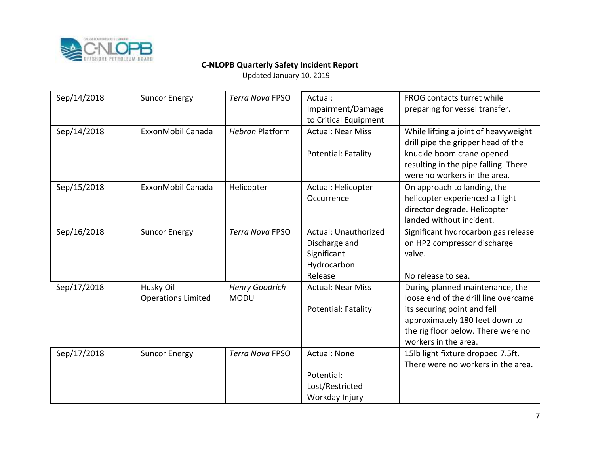

| Sep/14/2018 | <b>Suncor Energy</b>                   | <b>Terra Nova FPSO</b>               | Actual:<br>Impairment/Damage<br>to Critical Equipment                          | FROG contacts turret while<br>preparing for vessel transfer.                                                                                                                                           |
|-------------|----------------------------------------|--------------------------------------|--------------------------------------------------------------------------------|--------------------------------------------------------------------------------------------------------------------------------------------------------------------------------------------------------|
| Sep/14/2018 | ExxonMobil Canada                      | <b>Hebron Platform</b>               | <b>Actual: Near Miss</b><br>Potential: Fatality                                | While lifting a joint of heavyweight<br>drill pipe the gripper head of the<br>knuckle boom crane opened<br>resulting in the pipe falling. There<br>were no workers in the area.                        |
| Sep/15/2018 | ExxonMobil Canada                      | Helicopter                           | Actual: Helicopter<br>Occurrence                                               | On approach to landing, the<br>helicopter experienced a flight<br>director degrade. Helicopter<br>landed without incident.                                                                             |
| Sep/16/2018 | <b>Suncor Energy</b>                   | <b>Terra Nova FPSO</b>               | Actual: Unauthorized<br>Discharge and<br>Significant<br>Hydrocarbon<br>Release | Significant hydrocarbon gas release<br>on HP2 compressor discharge<br>valve.<br>No release to sea.                                                                                                     |
| Sep/17/2018 | Husky Oil<br><b>Operations Limited</b> | <b>Henry Goodrich</b><br><b>MODU</b> | <b>Actual: Near Miss</b><br>Potential: Fatality                                | During planned maintenance, the<br>loose end of the drill line overcame<br>its securing point and fell<br>approximately 180 feet down to<br>the rig floor below. There were no<br>workers in the area. |
| Sep/17/2018 | <b>Suncor Energy</b>                   | <b>Terra Nova FPSO</b>               | <b>Actual: None</b><br>Potential:<br>Lost/Restricted<br>Workday Injury         | 15lb light fixture dropped 7.5ft.<br>There were no workers in the area.                                                                                                                                |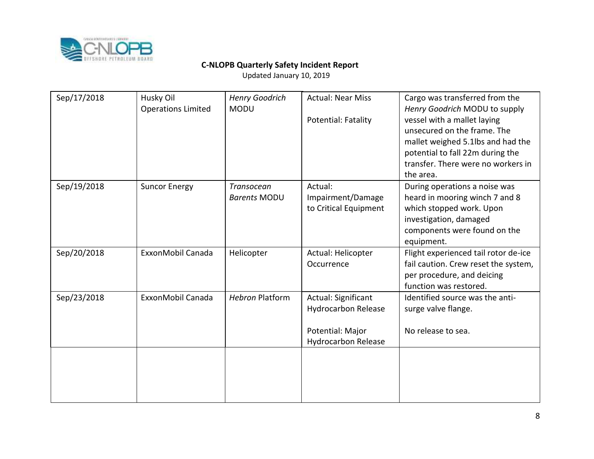

| Sep/17/2018 | Husky Oil<br><b>Operations Limited</b> | <b>Henry Goodrich</b><br><b>MODU</b> | <b>Actual: Near Miss</b><br>Potential: Fatality                                                     | Cargo was transferred from the<br>Henry Goodrich MODU to supply<br>vessel with a mallet laying<br>unsecured on the frame. The<br>mallet weighed 5.1lbs and had the<br>potential to fall 22m during the<br>transfer. There were no workers in<br>the area. |
|-------------|----------------------------------------|--------------------------------------|-----------------------------------------------------------------------------------------------------|-----------------------------------------------------------------------------------------------------------------------------------------------------------------------------------------------------------------------------------------------------------|
| Sep/19/2018 | <b>Suncor Energy</b>                   | Transocean<br><b>Barents MODU</b>    | Actual:<br>Impairment/Damage<br>to Critical Equipment                                               | During operations a noise was<br>heard in mooring winch 7 and 8<br>which stopped work. Upon<br>investigation, damaged<br>components were found on the<br>equipment.                                                                                       |
| Sep/20/2018 | ExxonMobil Canada                      | Helicopter                           | Actual: Helicopter<br>Occurrence                                                                    | Flight experienced tail rotor de-ice<br>fail caution. Crew reset the system,<br>per procedure, and deicing<br>function was restored.                                                                                                                      |
| Sep/23/2018 | ExxonMobil Canada                      | <b>Hebron Platform</b>               | Actual: Significant<br><b>Hydrocarbon Release</b><br>Potential: Major<br><b>Hydrocarbon Release</b> | Identified source was the anti-<br>surge valve flange.<br>No release to sea.                                                                                                                                                                              |
|             |                                        |                                      |                                                                                                     |                                                                                                                                                                                                                                                           |